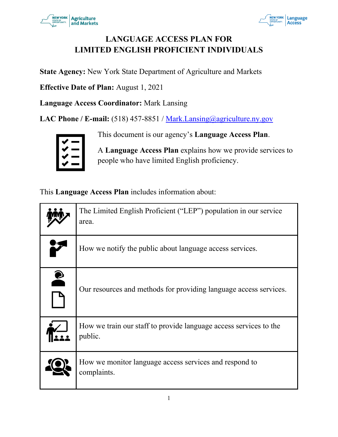



# **LANGUAGE ACCESS PLAN FOR LIMITED ENGLISH PROFICIENT INDIVIDUALS**

**State Agency:** New York State Department of Agriculture and Markets

**Effective Date of Plan:** August 1, 2021

**Language Access Coordinator:** Mark Lansing

LAC Phone / E-mail: (518) 457-8851 / [Mark.Lansing@agriculture.ny.gov](mailto:Mark.Lansing@agriculture.ny.gov)



This document is our agency's **Language Access Plan**.

A **Language Access Plan** explains how we provide services to people who have limited English proficiency.

This **Language Access Plan** includes information about:

|           | The Limited English Proficient ("LEP") population in our service<br>area.    |
|-----------|------------------------------------------------------------------------------|
|           | How we notify the public about language access services.                     |
| $\bullet$ | Our resources and methods for providing language access services.            |
|           | How we train our staff to provide language access services to the<br>public. |
|           | How we monitor language access services and respond to<br>complaints.        |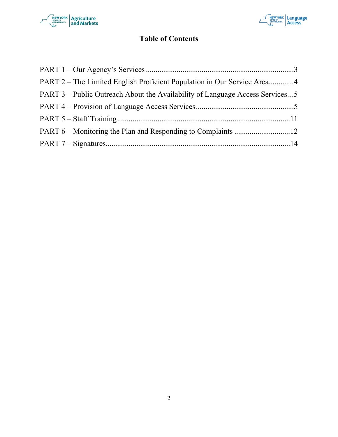



# **Table of Contents**

| PART 2 – The Limited English Proficient Population in Our Service Area4      |  |
|------------------------------------------------------------------------------|--|
| PART 3 – Public Outreach About the Availability of Language Access Services5 |  |
|                                                                              |  |
|                                                                              |  |
|                                                                              |  |
|                                                                              |  |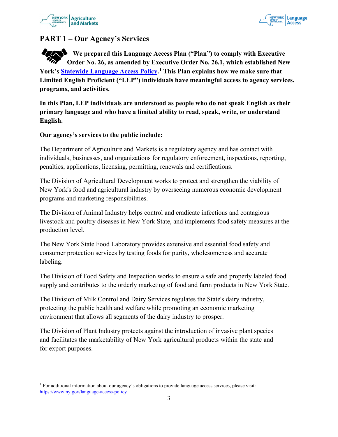



# <span id="page-2-0"></span>**PART 1 – Our Agency's Services**

**We prepared this Language Access Plan ("Plan") to comply with Executive Order No. 26, as amended by Executive Order No. 26.1, which established New York's [Statewide Language Access Policy.](https://www.ny.gov/language-access-policy) [1](#page-2-1) This Plan explains how we make sure that Limited English Proficient ("LEP") individuals have meaningful access to agency services, programs, and activities.**

**In this Plan, LEP individuals are understood as people who do not speak English as their primary language and who have a limited ability to read, speak, write, or understand English.** 

#### **Our agency's services to the public include:**

The Department of Agriculture and Markets is a regulatory agency and has contact with individuals, businesses, and organizations for regulatory enforcement, inspections, reporting, penalties, applications, licensing, permitting, renewals and certifications.

The Division of Agricultural Development works to protect and strengthen the viability of New York's food and agricultural industry by overseeing numerous economic development programs and marketing responsibilities.

The Division of Animal Industry helps control and eradicate infectious and contagious livestock and poultry diseases in New York State, and implements food safety measures at the production level.

The New York State Food Laboratory provides extensive and essential food safety and consumer protection services by testing foods for purity, wholesomeness and accurate labeling.

The Division of Food Safety and Inspection works to ensure a safe and properly labeled food supply and contributes to the orderly marketing of food and farm products in New York State.

The Division of Milk Control and Dairy Services regulates the State's dairy industry, protecting the public health and welfare while promoting an economic marketing environment that allows all segments of the dairy industry to prosper.

The Division of Plant Industry protects against the introduction of invasive plant species and facilitates the marketability of New York agricultural products within the state and for export purposes.

<span id="page-2-1"></span><sup>1</sup> For additional information about our agency's obligations to provide language access services, please visit: <https://www.ny.gov/language-access-policy>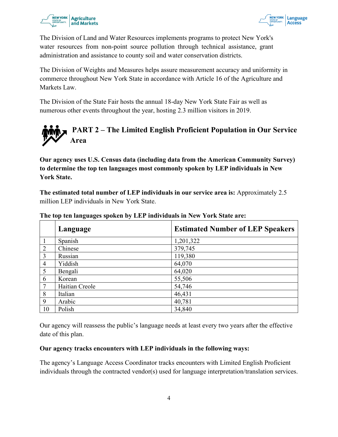



The Division of Land and Water Resources implements programs to protect New York's water resources from non-point source pollution through technical assistance, grant administration and assistance to county soil and water conservation districts.

The Division of Weights and Measures helps assure measurement accuracy and uniformity in commerce throughout New York State in accordance with Article 16 of the Agriculture and Markets Law.

The Division of the State Fair hosts the annual 18-day New York State Fair as well as numerous other events throughout the year, hosting 2.3 million visitors in 2019.

<span id="page-3-0"></span>

**Our agency uses U.S. Census data (including data from the American Community Survey) to determine the top ten languages most commonly spoken by LEP individuals in New York State.** 

**The estimated total number of LEP individuals in our service area is:** Approximately 2.5 million LEP individuals in New York State.

|                | Language       | <b>Estimated Number of LEP Speakers</b> |
|----------------|----------------|-----------------------------------------|
|                | Spanish        | 1,201,322                               |
| $\overline{2}$ | Chinese        | 379,745                                 |
| 3              | Russian        | 119,380                                 |
| $\overline{4}$ | Yiddish        | 64,070                                  |
| 5              | Bengali        | 64,020                                  |
| 6              | Korean         | 55,506                                  |
| $\tau$         | Haitian Creole | 54,746                                  |
| 8              | Italian        | 46,431                                  |
| 9              | Arabic         | 40,781                                  |
| 10             | Polish         | 34,840                                  |

**The top ten languages spoken by LEP individuals in New York State are:**

Our agency will reassess the public's language needs at least every two years after the effective date of this plan.

#### **Our agency tracks encounters with LEP individuals in the following ways:**

The agency's Language Access Coordinator tracks encounters with Limited English Proficient individuals through the contracted vendor(s) used for language interpretation/translation services.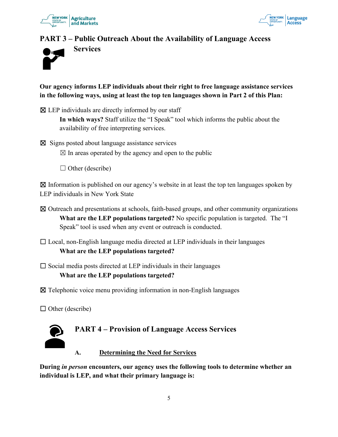

**Services**



# <span id="page-4-0"></span>**PART 3 – Public Outreach About the Availability of Language Access**



**Our agency informs LEP individuals about their right to free language assistance services in the following ways, using at least the top ten languages shown in Part 2 of this Plan:**

 $\boxtimes$  LEP individuals are directly informed by our staff

**In which ways?** Staff utilize the "I Speak" tool which informs the public about the availability of free interpreting services.

 $\boxtimes$  Signs posted about language assistance services

 $\boxtimes$  In areas operated by the agency and open to the public

 $\Box$  Other (describe)

 $\boxtimes$  Information is published on our agency's website in at least the top ten languages spoken by LEP individuals in New York State

- ☒ Outreach and presentations at schools, faith-based groups, and other community organizations **What are the LEP populations targeted?** No specific population is targeted. The "I Speak" tool is used when any event or outreach is conducted.
- $\Box$  Local, non-English language media directed at LEP individuals in their languages **What are the LEP populations targeted?**
- $\square$  Social media posts directed at LEP individuals in their languages

#### **What are the LEP populations targeted?**

- ☒ Telephonic voice menu providing information in non-English languages
- $\Box$  Other (describe)

<span id="page-4-1"></span>

**During** *in person* **encounters, our agency uses the following tools to determine whether an individual is LEP, and what their primary language is:**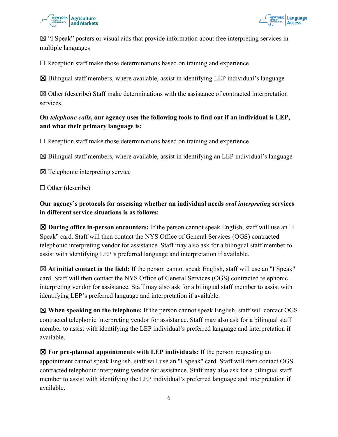



☒ "I Speak" posters or visual aids that provide information about free interpreting services in multiple languages

 $\Box$  Reception staff make those determinations based on training and experience

 $\boxtimes$  Bilingual staff members, where available, assist in identifying LEP individual's language

 $\boxtimes$  Other (describe) Staff make determinations with the assistance of contracted interpretation services.

#### **On** *telephone calls***, our agency uses the following tools to find out if an individual is LEP, and what their primary language is:**

 $\Box$  Reception staff make those determinations based on training and experience

 $\boxtimes$  Bilingual staff members, where available, assist in identifying an LEP individual's language

☒ Telephonic interpreting service

□ Other (describe)

**Our agency's protocols for assessing whether an individual needs** *oral interpreting* **services in different service situations is as follows:**

☒ **During office in-person encounters:** If the person cannot speak English, staff will use an "I Speak" card. Staff will then contact the NYS Office of General Services (OGS) contracted telephonic interpreting vendor for assistance. Staff may also ask for a bilingual staff member to assist with identifying LEP's preferred language and interpretation if available.

☒ **At initial contact in the field:** If the person cannot speak English, staff will use an "I Speak" card. Staff will then contact the NYS Office of General Services (OGS) contracted telephonic interpreting vendor for assistance. Staff may also ask for a bilingual staff member to assist with identifying LEP's preferred language and interpretation if available.

☒ **When speaking on the telephone:** If the person cannot speak English, staff will contact OGS contracted telephonic interpreting vendor for assistance. Staff may also ask for a bilingual staff member to assist with identifying the LEP individual's preferred language and interpretation if available.

☒ **For pre-planned appointments with LEP individuals:** If the person requesting an appointment cannot speak English, staff will use an "I Speak" card. Staff will then contact OGS contracted telephonic interpreting vendor for assistance. Staff may also ask for a bilingual staff member to assist with identifying the LEP individual's preferred language and interpretation if available.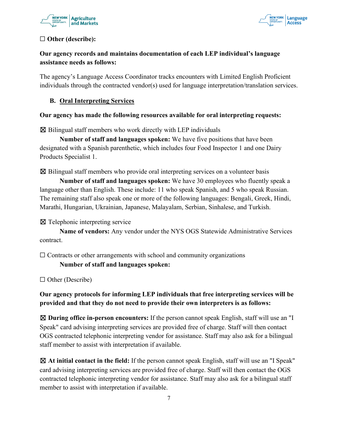



#### ☐ **Other (describe):**

# **Our agency records and maintains documentation of each LEP individual's language assistance needs as follows:**

The agency's Language Access Coordinator tracks encounters with Limited English Proficient individuals through the contracted vendor(s) used for language interpretation/translation services.

#### **B. Oral Interpreting Services**

#### **Our agency has made the following resources available for oral interpreting requests:**

 $\boxtimes$  Bilingual staff members who work directly with LEP individuals

**Number of staff and languages spoken:** We have five positions that have been designated with a Spanish parenthetic, which includes four Food Inspector 1 and one Dairy Products Specialist 1.

☒ Bilingual staff members who provide oral interpreting services on a volunteer basis

**Number of staff and languages spoken:** We have 30 employees who fluently speak a language other than English. These include: 11 who speak Spanish, and 5 who speak Russian. The remaining staff also speak one or more of the following languages: Bengali, Greek, Hindi, Marathi, Hungarian, Ukrainian, Japanese, Malayalam, Serbian, Sinhalese, and Turkish.

☒ Telephonic interpreting service

**Name of vendors:** Any vendor under the NYS OGS Statewide Administrative Services contract.

 $\Box$  Contracts or other arrangements with school and community organizations

**Number of staff and languages spoken:**

☐ Other (Describe)

**Our agency protocols for informing LEP individuals that free interpreting services will be provided and that they do not need to provide their own interpreters is as follows:**

☒ **During office in-person encounters:** If the person cannot speak English, staff will use an "I Speak" card advising interpreting services are provided free of charge. Staff will then contact OGS contracted telephonic interpreting vendor for assistance. Staff may also ask for a bilingual staff member to assist with interpretation if available.

☒ **At initial contact in the field:** If the person cannot speak English, staff will use an "I Speak" card advising interpreting services are provided free of charge. Staff will then contact the OGS contracted telephonic interpreting vendor for assistance. Staff may also ask for a bilingual staff member to assist with interpretation if available.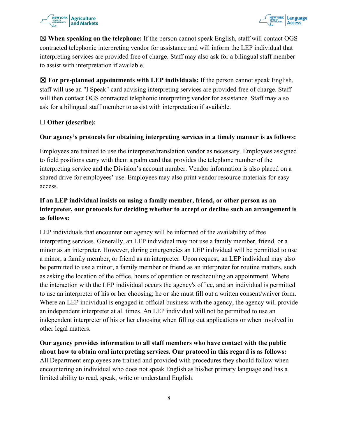#### **NEW YORK Agriculture** and Markets



☒ **When speaking on the telephone:** If the person cannot speak English, staff will contact OGS contracted telephonic interpreting vendor for assistance and will inform the LEP individual that interpreting services are provided free of charge. Staff may also ask for a bilingual staff member to assist with interpretation if available.

☒ **For pre-planned appointments with LEP individuals:** If the person cannot speak English, staff will use an "I Speak" card advising interpreting services are provided free of charge. Staff will then contact OGS contracted telephonic interpreting vendor for assistance. Staff may also ask for a bilingual staff member to assist with interpretation if available.

# ☐ **Other (describe):**

# **Our agency's protocols for obtaining interpreting services in a timely manner is as follows:**

Employees are trained to use the interpreter/translation vendor as necessary. Employees assigned to field positions carry with them a palm card that provides the telephone number of the interpreting service and the Division's account number. Vendor information is also placed on a shared drive for employees' use. Employees may also print vendor resource materials for easy access.

# **If an LEP individual insists on using a family member, friend, or other person as an interpreter, our protocols for deciding whether to accept or decline such an arrangement is as follows:**

LEP individuals that encounter our agency will be informed of the availability of free interpreting services. Generally, an LEP individual may not use a family member, friend, or a minor as an interpreter. However, during emergencies an LEP individual will be permitted to use a minor, a family member, or friend as an interpreter. Upon request, an LEP individual may also be permitted to use a minor, a family member or friend as an interpreter for routine matters, such as asking the location of the office, hours of operation or rescheduling an appointment. Where the interaction with the LEP individual occurs the agency's office, and an individual is permitted to use an interpreter of his or her choosing; he or she must fill out a written consent/waiver form. Where an LEP individual is engaged in official business with the agency, the agency will provide an independent interpreter at all times. An LEP individual will not be permitted to use an independent interpreter of his or her choosing when filling out applications or when involved in other legal matters.

**Our agency provides information to all staff members who have contact with the public about how to obtain oral interpreting services. Our protocol in this regard is as follows:**  All Department employees are trained and provided with procedures they should follow when encountering an individual who does not speak English as his/her primary language and has a limited ability to read, speak, write or understand English.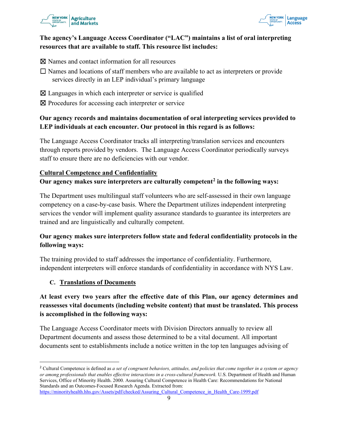



#### **The agency's Language Access Coordinator ("LAC") maintains a list of oral interpreting resources that are available to staff. This resource list includes:**

☒ Names and contact information for all resources

- ☐ Names and locations of staff members who are available to act as interpreters or provide services directly in an LEP individual's primary language
- $\boxtimes$  Languages in which each interpreter or service is qualified
- ⊠ Procedures for accessing each interpreter or service

#### **Our agency records and maintains documentation of oral interpreting services provided to LEP individuals at each encounter. Our protocol in this regard is as follows:**

The Language Access Coordinator tracks all interpreting/translation services and encounters through reports provided by vendors. The Language Access Coordinator periodically surveys staff to ensure there are no deficiencies with our vendor.

#### **Cultural Competence and Confidentiality**

#### **Our agency makes sure interpreters are culturally competent[2](#page-8-0) in the following ways:**

The Department uses multilingual staff volunteers who are self-assessed in their own language competency on a case-by-case basis. Where the Department utilizes independent interpreting services the vendor will implement quality assurance standards to guarantee its interpreters are trained and are linguistically and culturally competent.

#### **Our agency makes sure interpreters follow state and federal confidentiality protocols in the following ways:**

The training provided to staff addresses the importance of confidentiality. Furthermore, independent interpreters will enforce standards of confidentiality in accordance with NYS Law.

#### **C. Translations of Documents**

# **At least every two years after the effective date of this Plan, our agency determines and reassesses vital documents (including website content) that must be translated. This process is accomplished in the following ways:**

The Language Access Coordinator meets with Division Directors annually to review all Department documents and assess those determined to be a vital document. All important documents sent to establishments include a notice written in the top ten languages advising of

<span id="page-8-0"></span><sup>2</sup> Cultural Competence is defined as *a set of congruent behaviors, attitudes, and policies that come together in a system or agency or among professionals that enables effective interactions in a cross-cultural framework.* U.S. Department of Health and Human Services, Office of Minority Health. 2000. Assuring Cultural Competence in Health Care: Recommendations for National Standards and an Outcomes-Focused Research Agenda. Extracted from:

[https://minorityhealth.hhs.gov/Assets/pdf/checked/Assuring\\_Cultural\\_Competence\\_in\\_Health\\_Care-1999.pdf](https://minorityhealth.hhs.gov/Assets/pdf/checked/Assuring_Cultural_Competence_in_Health_Care-1999.pdf)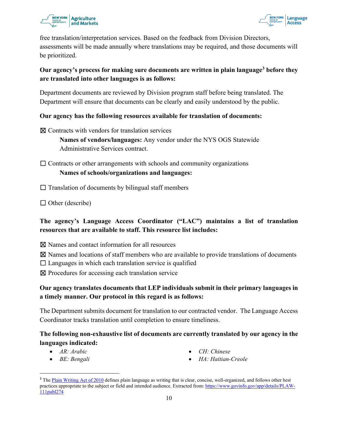



free translation/interpretation services. Based on the feedback from Division Directors, assessments will be made annually where translations may be required, and those documents will be prioritized.

#### **Our agency's process for making sure documents are written in plain languag[e3](#page-9-0) before they are translated into other languages is as follows:**

Department documents are reviewed by Division program staff before being translated. The Department will ensure that documents can be clearly and easily understood by the public.

#### **Our agency has the following resources available for translation of documents:**

☒ Contracts with vendors for translation services

**Names of vendors/languages:** Any vendor under the NYS OGS Statewide Administrative Services contract.

 $\Box$  Contracts or other arrangements with schools and community organizations **Names of schools/organizations and languages:**

 $\Box$  Translation of documents by bilingual staff members

 $\Box$  Other (describe)

# **The agency's Language Access Coordinator ("LAC") maintains a list of translation resources that are available to staff. This resource list includes:**

☒ Names and contact information for all resources

- $\boxtimes$  Names and locations of staff members who are available to provide translations of documents
- $\Box$  Languages in which each translation service is qualified
- ☒ Procedures for accessing each translation service

# **Our agency translates documents that LEP individuals submit in their primary languages in a timely manner. Our protocol in this regard is as follows:**

The Department submits document for translation to our contracted vendor. The Language Access Coordinator tracks translation until completion to ensure timeliness.

# **The following non-exhaustive list of documents are currently translated by our agency in the languages indicated:**

- *AR: Arabic*
- *BE: Bengali*
- *CH: Chinese*
- *HA: Haitian-Creole*

<span id="page-9-0"></span><sup>&</sup>lt;sup>3</sup> The [Plain Writing Act of 2010](https://www.govinfo.gov/app/details/PLAW-111publ274) defines plain language as writing that is clear, concise, well-organized, and follows other best practices appropriate to the subject or field and intended audience. Extracted from: [https://www.govinfo.gov/app/details/PLAW-](https://www.govinfo.gov/app/details/PLAW-111publ274)[111publ274](https://www.govinfo.gov/app/details/PLAW-111publ274)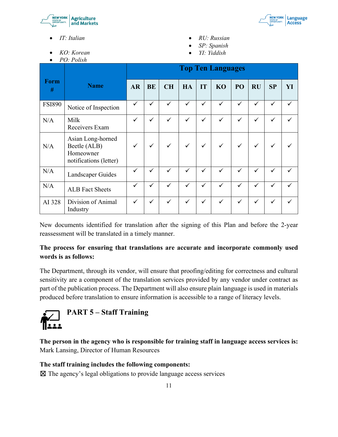



- *KO: Korean*
- *PO: Polish*
- *RU: Russian*
- *SP: Spanish*
- *YI: Yiddish*

|                  |                                                                          | <b>Top Ten Languages</b> |              |              |              |              |              |              |              |              |    |
|------------------|--------------------------------------------------------------------------|--------------------------|--------------|--------------|--------------|--------------|--------------|--------------|--------------|--------------|----|
| <b>Form</b><br># | <b>Name</b>                                                              | <b>AR</b>                | <b>BE</b>    | <b>CH</b>    | HA           | IT           | <b>KO</b>    | PO           | <b>RU</b>    | SP           | YI |
| <b>FSI890</b>    | Notice of Inspection                                                     | $\checkmark$             | $\checkmark$ | $\checkmark$ | $\checkmark$ | $\checkmark$ | $\checkmark$ | $\checkmark$ | $\checkmark$ | ✓            |    |
| N/A              | Milk<br>Receivers Exam                                                   | ✓                        | ✓            | $\checkmark$ | ✓            | $\checkmark$ | ✓            | $\checkmark$ | ✓            | $\checkmark$ |    |
| N/A              | Asian Long-horned<br>Beetle (ALB)<br>Homeowner<br>notifications (letter) | ✓                        | $\checkmark$ | $\checkmark$ | $\checkmark$ | $\checkmark$ | $\checkmark$ | $\checkmark$ | $\checkmark$ | ✓            |    |
| N/A              | Landscaper Guides                                                        | ✓                        | ✓            | ✓            | ✓            | $\checkmark$ | ✓            | $\checkmark$ | $\checkmark$ | ✓            |    |
| N/A              | <b>ALB</b> Fact Sheets                                                   | $\checkmark$             | $\checkmark$ | $\checkmark$ | $\checkmark$ | $\checkmark$ | ✓            | $\checkmark$ | $\checkmark$ | $\checkmark$ |    |
| AI 328           | Division of Animal<br>Industry                                           | ✓                        | ✓            | ✓            | $\checkmark$ | $\checkmark$ | ✓            | $\checkmark$ | ✓            | ✓            |    |

New documents identified for translation after the signing of this Plan and before the 2-year reassessment will be translated in a timely manner.

# **The process for ensuring that translations are accurate and incorporate commonly used words is as follows:**

The Department, through its vendor, will ensure that proofing/editing for correctness and cultural sensitivity are a component of the translation services provided by any vendor under contract as part of the publication process. The Department will also ensure plain language is used in materials produced before translation to ensure information is accessible to a range of literacy levels.

<span id="page-10-0"></span>

**The person in the agency who is responsible for training staff in language access services is:** Mark Lansing, Director of Human Resources

#### **The staff training includes the following components:**

 $\boxtimes$  The agency's legal obligations to provide language access services

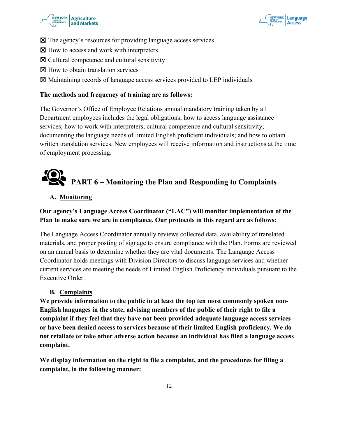



- ☒ The agency's resources for providing language access services
- ⊠ How to access and work with interpreters
- $\boxtimes$  Cultural competence and cultural sensitivity
- ⊠ How to obtain translation services
- ☒ Maintaining records of language access services provided to LEP individuals

#### **The methods and frequency of training are as follows:**

The Governor's Office of Employee Relations annual mandatory training taken by all Department employees includes the legal obligations; how to access language assistance services; how to work with interpreters; cultural competence and cultural sensitivity; documenting the language needs of limited English proficient individuals; and how to obtain written translation services. New employees will receive information and instructions at the time of employment processing.

# **PART 6 – Monitoring the Plan and Responding to Complaints**

#### <span id="page-11-0"></span>**A. Monitoring**

#### **Our agency's Language Access Coordinator ("LAC") will monitor implementation of the Plan to make sure we are in compliance. Our protocols in this regard are as follows:**

The Language Access Coordinator annually reviews collected data, availability of translated materials, and proper posting of signage to ensure compliance with the Plan. Forms are reviewed on an annual basis to determine whether they are vital documents. The Language Access Coordinator holds meetings with Division Directors to discuss language services and whether current services are meeting the needs of Limited English Proficiency individuals pursuant to the Executive Order.

#### **B. Complaints**

**We provide information to the public in at least the top ten most commonly spoken non-English languages in the state, advising members of the public of their right to file a complaint if they feel that they have not been provided adequate language access services or have been denied access to services because of their limited English proficiency. We do not retaliate or take other adverse action because an individual has filed a language access complaint.** 

**We display information on the right to file a complaint, and the procedures for filing a complaint, in the following manner:**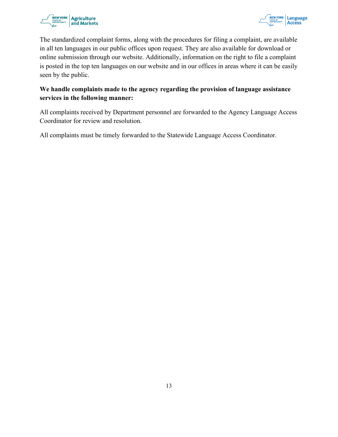



The standardized complaint forms, along with the procedures for filing a complaint, are available in all ten languages in our public offices upon request. They are also available for download or online submission through our website. Additionally, information on the right to file a complaint is posted in the top ten languages on our website and in our offices in areas where it can be easily seen by the public.

# **We handle complaints made to the agency regarding the provision of language assistance services in the following manner:**

All complaints received by Department personnel are forwarded to the Agency Language Access Coordinator for review and resolution.

All complaints must be timely forwarded to the Statewide Language Access Coordinator.